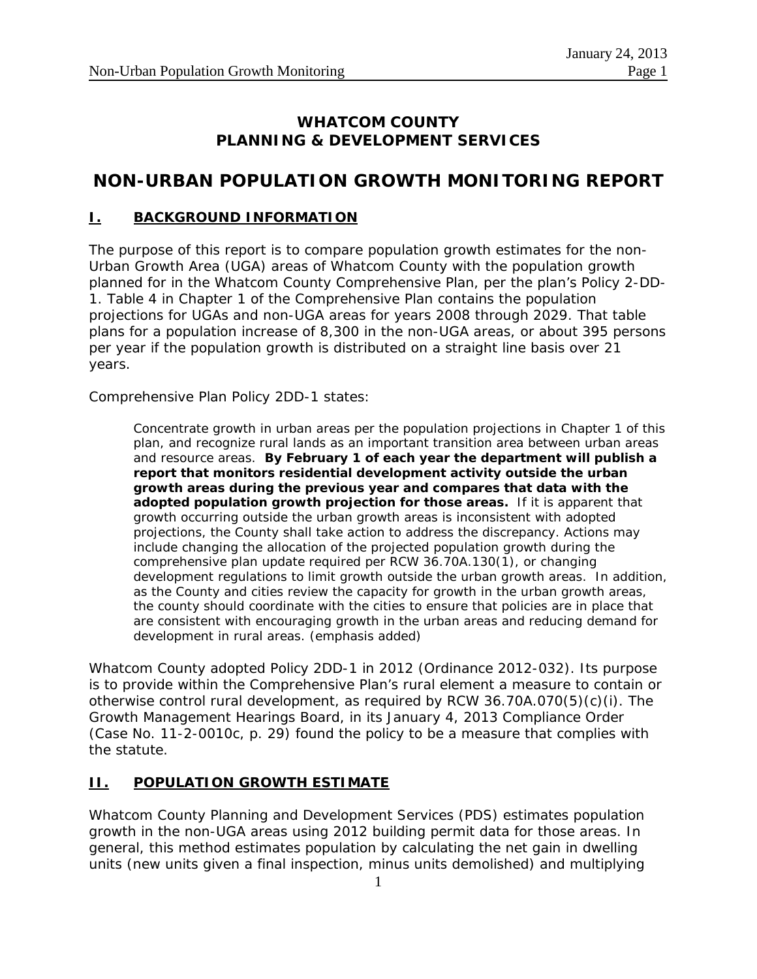## **WHATCOM COUNTY PLANNING & DEVELOPMENT SERVICES**

## **NON-URBAN POPULATION GROWTH MONITORING REPORT**

### **I. BACKGROUND INFORMATION**

The purpose of this report is to compare population growth estimates for the non-Urban Growth Area (UGA) areas of Whatcom County with the population growth planned for in the Whatcom County Comprehensive Plan, per the plan's Policy 2-DD-1. Table 4 in Chapter 1 of the Comprehensive Plan contains the population projections for UGAs and non-UGA areas for years 2008 through 2029. That table plans for a population increase of 8,300 in the non-UGA areas, or about 395 persons per year if the population growth is distributed on a straight line basis over 21 years.

Comprehensive Plan Policy 2DD-1 states:

Concentrate growth in urban areas per the population projections in Chapter 1 of this plan, and recognize rural lands as an important transition area between urban areas and resource areas. **By February 1 of each year the department will publish a report that monitors residential development activity outside the urban growth areas during the previous year and compares that data with the adopted population growth projection for those areas.** If it is apparent that growth occurring outside the urban growth areas is inconsistent with adopted projections, the County shall take action to address the discrepancy. Actions may include changing the allocation of the projected population growth during the comprehensive plan update required per RCW 36.70A.130(1), or changing development regulations to limit growth outside the urban growth areas. In addition, as the County and cities review the capacity for growth in the urban growth areas, the county should coordinate with the cities to ensure that policies are in place that are consistent with encouraging growth in the urban areas and reducing demand for development in rural areas. (emphasis added)

Whatcom County adopted Policy 2DD-1 in 2012 (Ordinance 2012-032). Its purpose is to provide within the Comprehensive Plan's rural element a measure to contain or otherwise control rural development, as required by RCW 36.70A.070(5)(c)(i). The Growth Management Hearings Board, in its January 4, 2013 Compliance Order (Case No. 11-2-0010c, p. 29) found the policy to be a measure that complies with the statute.

#### **II. POPULATION GROWTH ESTIMATE**

Whatcom County Planning and Development Services (PDS) estimates population growth in the non-UGA areas using 2012 building permit data for those areas. In general, this method estimates population by calculating the net gain in dwelling units (new units given a final inspection, minus units demolished) and multiplying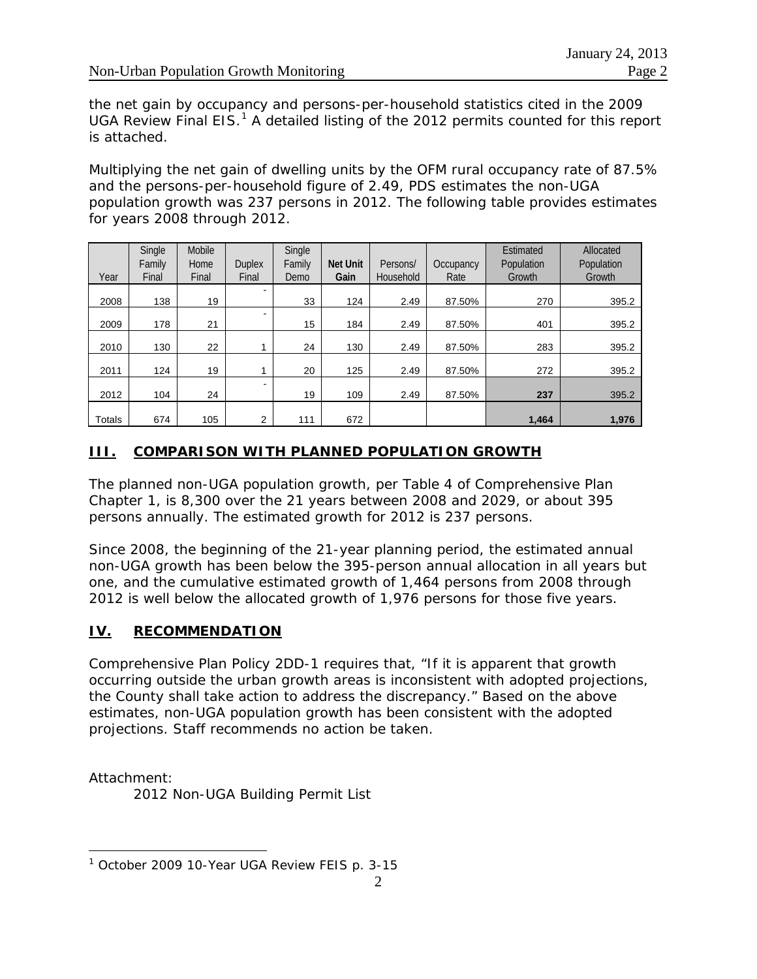the net gain by occupancy and persons-per-household statistics cited in the 2009 UGA Review Final EIS.<sup>[1](#page-1-0)</sup> A detailed listing of the 2012 permits counted for this report is attached.

Multiplying the net gain of dwelling units by the OFM rural occupancy rate of 87.5% and the persons-per-household figure of 2.49, PDS estimates the non-UGA population growth was 237 persons in 2012. The following table provides estimates for years 2008 through 2012.

| Year   | Single<br>Family<br>Final | Mobile<br>Home<br>Final | <b>Duplex</b><br>Final | Single<br>Family<br>Demo | <b>Net Unit</b><br>Gain | Persons/<br>Household | Occupancy<br>Rate | Estimated<br>Population<br>Growth | Allocated<br>Population<br>Growth |
|--------|---------------------------|-------------------------|------------------------|--------------------------|-------------------------|-----------------------|-------------------|-----------------------------------|-----------------------------------|
| 2008   | 138                       | 19                      |                        | 33                       | 124                     | 2.49                  | 87.50%            | 270                               | 395.2                             |
| 2009   | 178                       | 21                      | ۰.                     | 15                       | 184                     | 2.49                  | 87.50%            | 401                               | 395.2                             |
| 2010   | 130                       | 22                      |                        | 24                       | 130                     | 2.49                  | 87.50%            | 283                               | 395.2                             |
| 2011   | 124                       | 19                      |                        | 20                       | 125                     | 2.49                  | 87.50%            | 272                               | 395.2                             |
| 2012   | 104                       | 24                      |                        | 19                       | 109                     | 2.49                  | 87.50%            | 237                               | 395.2                             |
| Totals | 674                       | 105                     | 2                      | 111                      | 672                     |                       |                   | 1,464                             | 1,976                             |

## **III. COMPARISON WITH PLANNED POPULATION GROWTH**

The planned non-UGA population growth, per Table 4 of Comprehensive Plan Chapter 1, is 8,300 over the 21 years between 2008 and 2029, or about 395 persons annually. The estimated growth for 2012 is 237 persons.

Since 2008, the beginning of the 21-year planning period, the estimated annual non-UGA growth has been below the 395-person annual allocation in all years but one, and the cumulative estimated growth of 1,464 persons from 2008 through 2012 is well below the allocated growth of 1,976 persons for those five years.

## **IV. RECOMMENDATION**

Comprehensive Plan Policy 2DD-1 requires that, "If it is apparent that growth occurring outside the urban growth areas is inconsistent with adopted projections, the County shall take action to address the discrepancy." Based on the above estimates, non-UGA population growth has been consistent with the adopted projections. Staff recommends no action be taken.

Attachment:

 $\overline{a}$ 

2012 Non-UGA Building Permit List

<span id="page-1-0"></span><sup>&</sup>lt;sup>1</sup> October 2009 10-Year UGA Review FEIS p. 3-15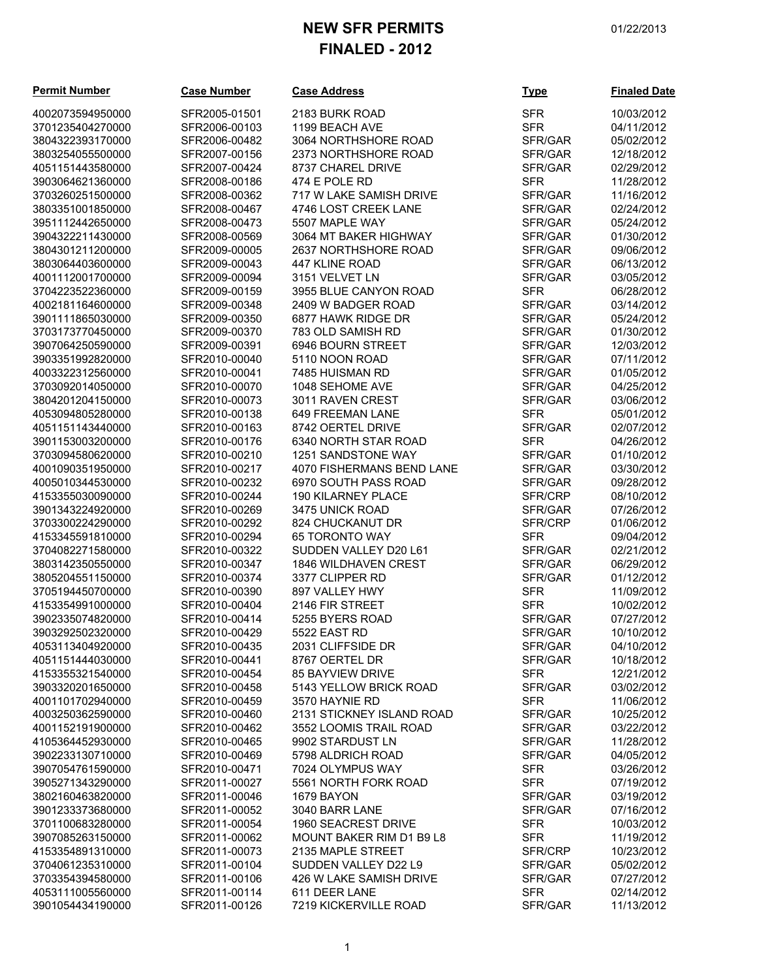## **NEW SFR PERMITS** 01/22/2013 **FINALED - 2012**

**Permit Number Case Number Case Address** 

SFR2005-01501 2183 BURK ROAD SFR2006-00103 1199 BEACH AVE

SFR2006-00482 3064 NORTHSHORE ROAD

| 4002073594950000<br>3701235404270000 |  |
|--------------------------------------|--|
|                                      |  |
| 3804322393170000                     |  |
| 3803254055500000                     |  |
| 4051151443580000                     |  |
| 3903064621360000                     |  |
| 3703260251500000                     |  |
| 3803351001850000                     |  |
| 3951112442650000                     |  |
| 3904322211430000                     |  |
| 3804301211200000                     |  |
|                                      |  |
| 3803064403600000                     |  |
| 4001112001700000                     |  |
| 3704223522360000                     |  |
| 4002181164600000                     |  |
| 3901111865030000                     |  |
| 3703173770450000                     |  |
| 3907064250590000                     |  |
| 3903351992820000                     |  |
| 4003322312560000                     |  |
|                                      |  |
| 3703092014050000                     |  |
| 3804201204150000                     |  |
| 4053094805280000                     |  |
| 4051151143440000                     |  |
| 3901153003200000                     |  |
| 3703094580620000                     |  |
| 4001090351950000                     |  |
| 4005010344530000                     |  |
|                                      |  |
| 4153355030090000                     |  |
| 3901343224920000                     |  |
| 3703300224290000                     |  |
| 4153345591810000                     |  |
| 3704082271580000                     |  |
| 3803142350550000                     |  |
| 3805204551150000                     |  |
| 3705194450700000                     |  |
| 4153354991000000                     |  |
| 3902335074820000                     |  |
|                                      |  |
| 3903292502320000                     |  |
| 4053113404920000                     |  |
| 4051151444030000                     |  |
|                                      |  |
| 4153355321540000                     |  |
| 3903320201650000                     |  |
|                                      |  |
| 4001101702940000                     |  |
| 4003250362590000                     |  |
| 4001152191900000                     |  |
| 4105364452930000                     |  |
| 3902233130710000                     |  |
| 3907054761590000                     |  |
| 3905271343290000                     |  |
| 3802160463820000                     |  |
| 3901233373680000                     |  |
| 3701100683280000                     |  |
|                                      |  |
| 3907085263150000                     |  |
| 4153354891310000                     |  |
| 3704061235310000                     |  |
| 3703354394580000                     |  |
| 4053111005560000                     |  |
| 3901054434190000                     |  |

| 3803254055500000 | SFR2007-00156 | 2373 NORTHSHORE ROAD      | SFR/GAR    | 12/18/2012 |
|------------------|---------------|---------------------------|------------|------------|
| 4051151443580000 | SFR2007-00424 | 8737 CHAREL DRIVE         | SFR/GAR    | 02/29/2012 |
| 3903064621360000 | SFR2008-00186 | 474 E POLE RD             | <b>SFR</b> | 11/28/2012 |
| 3703260251500000 | SFR2008-00362 | 717 W LAKE SAMISH DRIVE   | SFR/GAR    | 11/16/2012 |
| 3803351001850000 | SFR2008-00467 | 4746 LOST CREEK LANE      | SFR/GAR    | 02/24/2012 |
| 3951112442650000 | SFR2008-00473 | 5507 MAPLE WAY            | SFR/GAR    | 05/24/2012 |
| 3904322211430000 | SFR2008-00569 | 3064 MT BAKER HIGHWAY     | SFR/GAR    | 01/30/2012 |
| 3804301211200000 | SFR2009-00005 | 2637 NORTHSHORE ROAD      | SFR/GAR    | 09/06/2012 |
| 3803064403600000 | SFR2009-00043 | 447 KLINE ROAD            | SFR/GAR    | 06/13/2012 |
| 4001112001700000 | SFR2009-00094 | 3151 VELVET LN            | SFR/GAR    | 03/05/2012 |
| 3704223522360000 | SFR2009-00159 | 3955 BLUE CANYON ROAD     | <b>SFR</b> | 06/28/2012 |
| 4002181164600000 | SFR2009-00348 | 2409 W BADGER ROAD        | SFR/GAR    | 03/14/2012 |
| 3901111865030000 | SFR2009-00350 | 6877 HAWK RIDGE DR        | SFR/GAR    | 05/24/2012 |
| 3703173770450000 | SFR2009-00370 | 783 OLD SAMISH RD         | SFR/GAR    | 01/30/2012 |
| 3907064250590000 | SFR2009-00391 | 6946 BOURN STREET         | SFR/GAR    | 12/03/2012 |
| 3903351992820000 | SFR2010-00040 | 5110 NOON ROAD            | SFR/GAR    | 07/11/2012 |
| 4003322312560000 | SFR2010-00041 | 7485 HUISMAN RD           | SFR/GAR    | 01/05/2012 |
| 3703092014050000 | SFR2010-00070 | 1048 SEHOME AVE           | SFR/GAR    | 04/25/2012 |
| 3804201204150000 | SFR2010-00073 | 3011 RAVEN CREST          | SFR/GAR    | 03/06/2012 |
| 4053094805280000 | SFR2010-00138 | 649 FREEMAN LANE          | <b>SFR</b> | 05/01/2012 |
| 4051151143440000 | SFR2010-00163 | 8742 OERTEL DRIVE         | SFR/GAR    | 02/07/2012 |
| 3901153003200000 | SFR2010-00176 | 6340 NORTH STAR ROAD      | <b>SFR</b> | 04/26/2012 |
| 3703094580620000 | SFR2010-00210 | 1251 SANDSTONE WAY        | SFR/GAR    | 01/10/2012 |
| 4001090351950000 | SFR2010-00217 | 4070 FISHERMANS BEND LANE | SFR/GAR    | 03/30/2012 |
| 4005010344530000 | SFR2010-00232 | 6970 SOUTH PASS ROAD      | SFR/GAR    | 09/28/2012 |
| 4153355030090000 | SFR2010-00244 | 190 KILARNEY PLACE        | SFR/CRP    | 08/10/2012 |
| 3901343224920000 | SFR2010-00269 | 3475 UNICK ROAD           | SFR/GAR    | 07/26/2012 |
| 3703300224290000 | SFR2010-00292 | 824 CHUCKANUT DR          | SFR/CRP    | 01/06/2012 |
| 4153345591810000 | SFR2010-00294 | 65 TORONTO WAY            | <b>SFR</b> | 09/04/2012 |
| 3704082271580000 | SFR2010-00322 | SUDDEN VALLEY D20 L61     | SFR/GAR    | 02/21/2012 |
| 3803142350550000 | SFR2010-00347 | 1846 WILDHAVEN CREST      | SFR/GAR    | 06/29/2012 |
| 3805204551150000 | SFR2010-00374 | 3377 CLIPPER RD           | SFR/GAR    | 01/12/2012 |
| 3705194450700000 | SFR2010-00390 | 897 VALLEY HWY            | <b>SFR</b> | 11/09/2012 |
| 4153354991000000 | SFR2010-00404 | 2146 FIR STREET           | <b>SFR</b> | 10/02/2012 |
| 3902335074820000 | SFR2010-00414 | 5255 BYERS ROAD           | SFR/GAR    | 07/27/2012 |
| 3903292502320000 | SFR2010-00429 | 5522 EAST RD              | SFR/GAR    | 10/10/2012 |
| 4053113404920000 | SFR2010-00435 | 2031 CLIFFSIDE DR         | SFR/GAR    | 04/10/2012 |
| 4051151444030000 | SFR2010-00441 | 8767 OERTEL DR            | SFR/GAR    | 10/18/2012 |
| 4153355321540000 | SFR2010-00454 | <b>85 BAYVIEW DRIVE</b>   | <b>SFR</b> | 12/21/2012 |
| 3903320201650000 | SFR2010-00458 | 5143 YELLOW BRICK ROAD    | SFR/GAR    | 03/02/2012 |
| 4001101702940000 | SFR2010-00459 | 3570 HAYNIE RD            | <b>SFR</b> | 11/06/2012 |
| 4003250362590000 | SFR2010-00460 | 2131 STICKNEY ISLAND ROAD | SFR/GAR    | 10/25/2012 |
| 4001152191900000 | SFR2010-00462 | 3552 LOOMIS TRAIL ROAD    | SFR/GAR    | 03/22/2012 |
| 4105364452930000 | SFR2010-00465 | 9902 STARDUST LN          | SFR/GAR    | 11/28/2012 |
| 3902233130710000 | SFR2010-00469 | 5798 ALDRICH ROAD         | SFR/GAR    | 04/05/2012 |
| 3907054761590000 | SFR2010-00471 | 7024 OLYMPUS WAY          | <b>SFR</b> | 03/26/2012 |
| 3905271343290000 | SFR2011-00027 | 5561 NORTH FORK ROAD      | <b>SFR</b> | 07/19/2012 |
| 3802160463820000 | SFR2011-00046 | 1679 BAYON                | SFR/GAR    | 03/19/2012 |
| 3901233373680000 | SFR2011-00052 | 3040 BARR LANE            | SFR/GAR    | 07/16/2012 |
| 3701100683280000 | SFR2011-00054 | 1960 SEACREST DRIVE       | <b>SFR</b> | 10/03/2012 |
| 3907085263150000 | SFR2011-00062 | MOUNT BAKER RIM D1 B9 L8  | <b>SFR</b> | 11/19/2012 |
| 4153354891310000 | SFR2011-00073 | 2135 MAPLE STREET         | SFR/CRP    | 10/23/2012 |
| 3704061235310000 | SFR2011-00104 | SUDDEN VALLEY D22 L9      | SFR/GAR    | 05/02/2012 |
| 3703354394580000 | SFR2011-00106 | 426 W LAKE SAMISH DRIVE   | SFR/GAR    | 07/27/2012 |
| 4053111005560000 | SFR2011-00114 | 611 DEER LANE             | <b>SFR</b> | 02/14/2012 |
| 3901054434190000 | SFR2011-00126 | 7219 KICKERVILLE ROAD     | SFR/GAR    | 11/13/2012 |
|                  |               |                           |            |            |

| <u>Type</u>    | <b>Finaled Date</b> |
|----------------|---------------------|
| SFR            | 10/03/2012          |
| <b>SFR</b>     | 04/11/2012          |
| SFR/GAR        | 05/02/2012          |
| SFR/GAR        | 12/18/2012          |
| SFR/GAR        | 02/29/2012          |
| SFR            | 11/28/2012          |
| SFR/GAR        | 11/16/2012          |
|                |                     |
| SFR/GAR        | 02/24/2012          |
| SFR/GAR        | 05/24/2012          |
| SFR/GAR        | 01/30/2012          |
| SFR/GAR        | 09/06/2012          |
| SFR/GAR        | 06/13/2012          |
| SFR/GAR        | 03/05/2012          |
| SFR            | 06/28/2012          |
| SFR/GAR        | 03/14/2012          |
| SFR/GAR        | 05/24/2012          |
| SFR/GAR        | 01/30/2012          |
| SFR/GAR        | 12/03/2012          |
| SFR/GAR        | 07/11/2012          |
| SFR/GAR        | 01/05/2012          |
| SFR/GAR        | 04/25/2012          |
| SFR/GAR        | 03/06/2012          |
| SFR            | 05/01/2012          |
| SFR/GAR        | 02/07/2012          |
| <b>SFR</b>     | 04/26/2012          |
| SFR/GAR        | 01/10/2012          |
| SFR/GAR        | 03/30/2012          |
| SFR/GAR        | 09/28/2012          |
| SFR/CRP        | 08/10/2012          |
| <b>SFR/GAR</b> | 07/26/2012          |
|                |                     |
| SFR/CRP        | 01/06/2012          |
| SFR            | 09/04/2012          |
| SFR/GAR        | 02/21/2012          |
| SFR/GAR        | 06/29/2012          |
| SFR/GAR        | 01/12/2012          |
| <b>SFR</b>     | 11/09/2012          |
| <b>SFR</b>     | 10/02/2012          |
| SFR/GAR        | 07/27/2012          |
| SFR/GAR        | 10/10/2012          |
| SFR/GAR        | 04/10/2012          |
| SFR/GAR        | 10/18/2012          |
| <b>SFR</b>     | 12/21/2012          |
| SFR/GAR        | 03/02/2012          |
| <b>SFR</b>     | 11/06/2012          |
| SFR/GAR        | 10/25/2012          |
| SFR/GAR        | 03/22/2012          |
| SFR/GAR        | 11/28/2012          |
| SFR/GAR        | 04/05/2012          |
| SFR            | 03/26/2012          |
| SFR            | 07/19/2012          |
| SFR/GAR        | 03/19/2012          |
| SFR/GAR        | 07/16/2012          |
| <b>SFR</b>     | 10/03/2012          |
| <b>SFR</b>     | 11/19/2012          |
| <b>SFR/CRP</b> | 10/23/2012          |
| SFR/GAR        | 05/02/2012          |
| SFR/GAR        | 07/27/2012          |
| <b>SFR</b>     | 02/14/2012          |
| SFR/GAR        | 11/13/2012          |
|                |                     |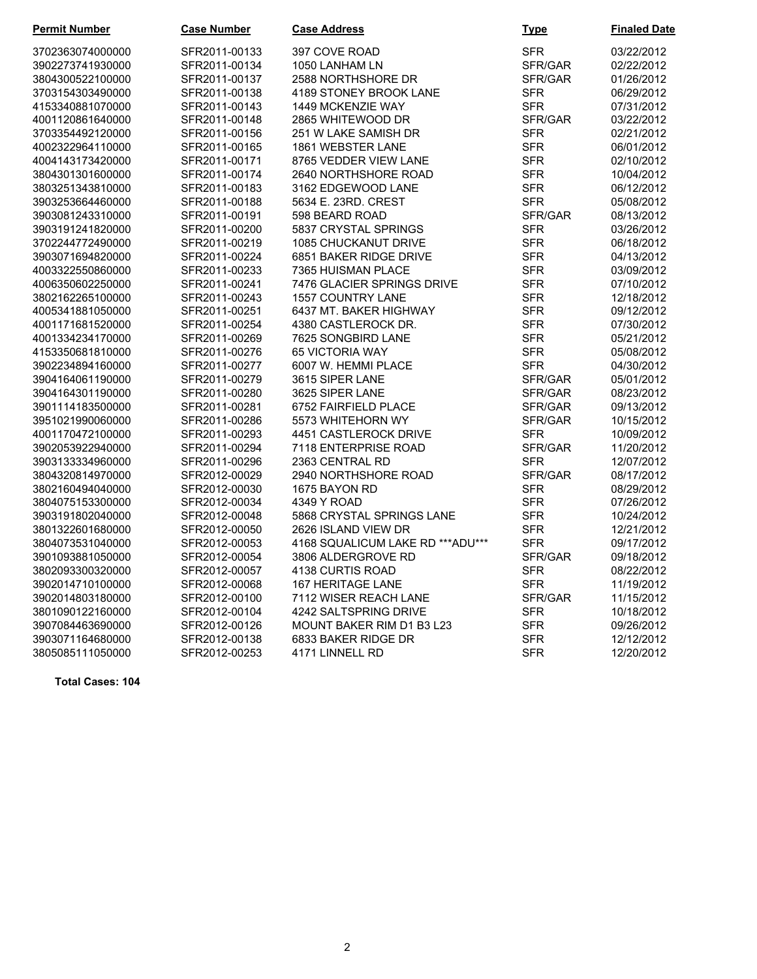| <b>Permit Number</b> | <b>Case Number</b> | <b>Case Address</b>              | <b>Type</b> | <b>Finaled Date</b> |
|----------------------|--------------------|----------------------------------|-------------|---------------------|
| 3702363074000000     | SFR2011-00133      | 397 COVE ROAD                    | <b>SFR</b>  | 03/22/2012          |
| 3902273741930000     | SFR2011-00134      | 1050 LANHAM LN                   | SFR/GAR     | 02/22/2012          |
| 3804300522100000     | SFR2011-00137      | 2588 NORTHSHORE DR               | SFR/GAR     | 01/26/2012          |
| 3703154303490000     | SFR2011-00138      | 4189 STONEY BROOK LANE           | <b>SFR</b>  | 06/29/2012          |
| 4153340881070000     | SFR2011-00143      | 1449 MCKENZIE WAY                | <b>SFR</b>  | 07/31/2012          |
| 4001120861640000     | SFR2011-00148      | 2865 WHITEWOOD DR                | SFR/GAR     | 03/22/2012          |
| 3703354492120000     | SFR2011-00156      | 251 W LAKE SAMISH DR             | <b>SFR</b>  | 02/21/2012          |
| 4002322964110000     | SFR2011-00165      | 1861 WEBSTER LANE                | <b>SFR</b>  | 06/01/2012          |
| 4004143173420000     | SFR2011-00171      | 8765 VEDDER VIEW LANE            | <b>SFR</b>  | 02/10/2012          |
| 3804301301600000     | SFR2011-00174      | 2640 NORTHSHORE ROAD             | <b>SFR</b>  | 10/04/2012          |
| 3803251343810000     | SFR2011-00183      | 3162 EDGEWOOD LANE               | <b>SFR</b>  | 06/12/2012          |
| 3903253664460000     | SFR2011-00188      | 5634 E. 23RD. CREST              | <b>SFR</b>  | 05/08/2012          |
| 3903081243310000     | SFR2011-00191      | 598 BEARD ROAD                   | SFR/GAR     | 08/13/2012          |
| 3903191241820000     | SFR2011-00200      | 5837 CRYSTAL SPRINGS             | <b>SFR</b>  | 03/26/2012          |
| 3702244772490000     | SFR2011-00219      | 1085 CHUCKANUT DRIVE             | <b>SFR</b>  | 06/18/2012          |
| 3903071694820000     | SFR2011-00224      | 6851 BAKER RIDGE DRIVE           | <b>SFR</b>  | 04/13/2012          |
| 4003322550860000     | SFR2011-00233      | 7365 HUISMAN PLACE               | <b>SFR</b>  | 03/09/2012          |
| 4006350602250000     | SFR2011-00241      | 7476 GLACIER SPRINGS DRIVE       | <b>SFR</b>  | 07/10/2012          |
| 3802162265100000     | SFR2011-00243      | <b>1557 COUNTRY LANE</b>         | <b>SFR</b>  | 12/18/2012          |
| 4005341881050000     | SFR2011-00251      | 6437 MT. BAKER HIGHWAY           | <b>SFR</b>  | 09/12/2012          |
| 4001171681520000     | SFR2011-00254      | 4380 CASTLEROCK DR.              | <b>SFR</b>  | 07/30/2012          |
| 4001334234170000     | SFR2011-00269      | 7625 SONGBIRD LANE               | <b>SFR</b>  | 05/21/2012          |
| 4153350681810000     | SFR2011-00276      | 65 VICTORIA WAY                  | <b>SFR</b>  | 05/08/2012          |
| 3902234894160000     | SFR2011-00277      | 6007 W. HEMMI PLACE              | <b>SFR</b>  | 04/30/2012          |
| 3904164061190000     | SFR2011-00279      | 3615 SIPER LANE                  | SFR/GAR     | 05/01/2012          |
| 3904164301190000     | SFR2011-00280      | 3625 SIPER LANE                  | SFR/GAR     | 08/23/2012          |
| 3901114183500000     | SFR2011-00281      | 6752 FAIRFIELD PLACE             | SFR/GAR     | 09/13/2012          |
| 3951021990060000     | SFR2011-00286      | 5573 WHITEHORN WY                | SFR/GAR     | 10/15/2012          |
| 4001170472100000     | SFR2011-00293      | 4451 CASTLEROCK DRIVE            | <b>SFR</b>  | 10/09/2012          |
| 3902053922940000     | SFR2011-00294      | 7118 ENTERPRISE ROAD             | SFR/GAR     | 11/20/2012          |
| 3903133334960000     | SFR2011-00296      | 2363 CENTRAL RD                  | <b>SFR</b>  | 12/07/2012          |
| 3804320814970000     | SFR2012-00029      | 2940 NORTHSHORE ROAD             | SFR/GAR     | 08/17/2012          |
| 3802160494040000     | SFR2012-00030      | 1675 BAYON RD                    | <b>SFR</b>  | 08/29/2012          |
| 3804075153300000     | SFR2012-00034      | 4349 Y ROAD                      | <b>SFR</b>  | 07/26/2012          |
| 3903191802040000     | SFR2012-00048      | 5868 CRYSTAL SPRINGS LANE        | <b>SFR</b>  | 10/24/2012          |
| 3801322601680000     | SFR2012-00050      | 2626 ISLAND VIEW DR              | <b>SFR</b>  | 12/21/2012          |
| 3804073531040000     | SFR2012-00053      | 4168 SQUALICUM LAKE RD ***ADU*** | <b>SFR</b>  | 09/17/2012          |
| 3901093881050000     | SFR2012-00054      | 3806 ALDERGROVE RD               | SFR/GAR     | 09/18/2012          |
| 3802093300320000     | SFR2012-00057      | 4138 CURTIS ROAD                 | <b>SFR</b>  | 08/22/2012          |
| 3902014710100000     | SFR2012-00068      | 167 HERITAGE LANE                | <b>SFR</b>  | 11/19/2012          |
| 3902014803180000     | SFR2012-00100      | 7112 WISER REACH LANE            | SFR/GAR     | 11/15/2012          |
| 3801090122160000     | SFR2012-00104      | 4242 SALTSPRING DRIVE            | SFR         | 10/18/2012          |
| 3907084463690000     | SFR2012-00126      | MOUNT BAKER RIM D1 B3 L23        | <b>SFR</b>  | 09/26/2012          |
| 3903071164680000     | SFR2012-00138      | 6833 BAKER RIDGE DR              | SFR         | 12/12/2012          |
| 3805085111050000     | SFR2012-00253      | 4171 LINNELL RD                  | <b>SFR</b>  | 12/20/2012          |

**Total Cases: 104**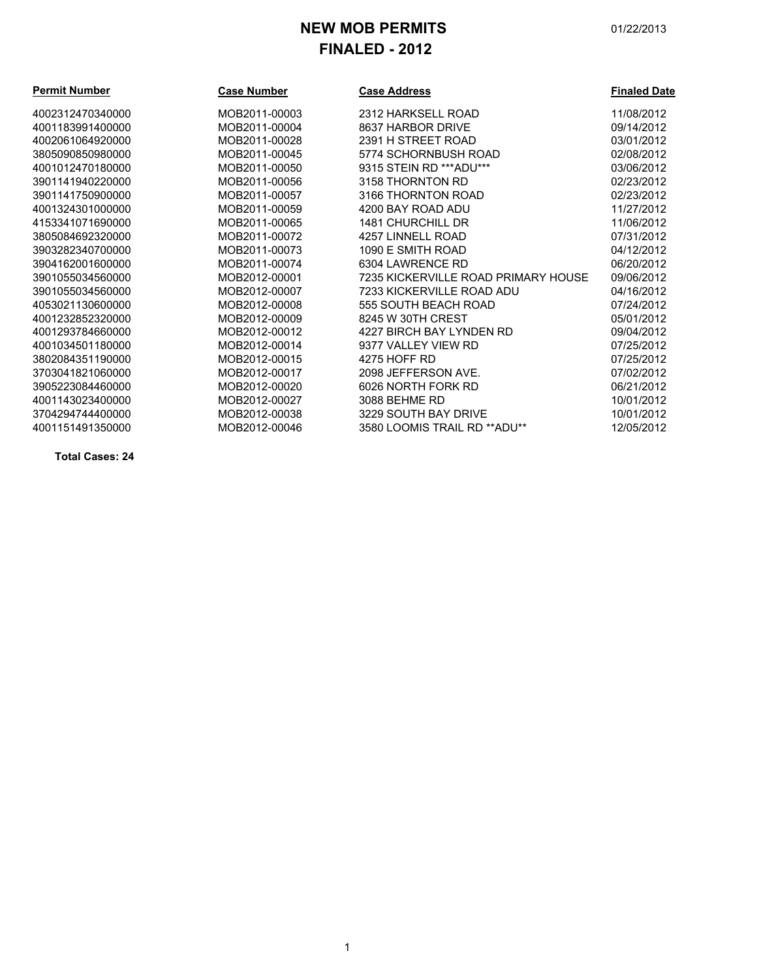# **NEW MOB PERMITS** 01/22/2013 **FINALED - 2012**

| <b>Permit Number</b> | <b>Case Number</b> | <b>Case Address</b>                 | <b>Finaled Date</b> |
|----------------------|--------------------|-------------------------------------|---------------------|
| 4002312470340000     | MOB2011-00003      | 2312 HARKSELL ROAD                  | 11/08/2012          |
| 4001183991400000     | MOB2011-00004      | 8637 HARBOR DRIVE                   | 09/14/2012          |
| 4002061064920000     | MOB2011-00028      | 2391 H STREET ROAD                  | 03/01/2012          |
| 3805090850980000     | MOB2011-00045      | 5774 SCHORNBUSH ROAD                | 02/08/2012          |
| 4001012470180000     | MOB2011-00050      | 9315 STEIN RD *** ADU***            | 03/06/2012          |
| 3901141940220000     | MOB2011-00056      | 3158 THORNTON RD                    | 02/23/2012          |
| 3901141750900000     | MOB2011-00057      | 3166 THORNTON ROAD                  | 02/23/2012          |
| 4001324301000000     | MOB2011-00059      | 4200 BAY ROAD ADU                   | 11/27/2012          |
| 4153341071690000     | MOB2011-00065      | 1481 CHURCHILL DR                   | 11/06/2012          |
| 3805084692320000     | MOB2011-00072      | 4257 LINNELL ROAD                   | 07/31/2012          |
| 3903282340700000     | MOB2011-00073      | 1090 E SMITH ROAD                   | 04/12/2012          |
| 3904162001600000     | MOB2011-00074      | 6304 LAWRENCE RD                    | 06/20/2012          |
| 3901055034560000     | MOB2012-00001      | 7235 KICKERVILLE ROAD PRIMARY HOUSE | 09/06/2012          |
| 3901055034560000     | MOB2012-00007      | 7233 KICKERVILLE ROAD ADU           | 04/16/2012          |
| 4053021130600000     | MOB2012-00008      | 555 SOUTH BEACH ROAD                | 07/24/2012          |
| 4001232852320000     | MOB2012-00009      | 8245 W 30TH CREST                   | 05/01/2012          |
| 4001293784660000     | MOB2012-00012      | 4227 BIRCH BAY I YNDEN RD           | 09/04/2012          |
| 4001034501180000     | MOB2012-00014      | 9377 VALLEY VIEW RD                 | 07/25/2012          |
| 3802084351190000     | MOB2012-00015      | 4275 HOFF RD                        | 07/25/2012          |
| 3703041821060000     | MOB2012-00017      | 2098 JEFFERSON AVE.                 | 07/02/2012          |
| 3905223084460000     | MOB2012-00020      | 6026 NORTH FORK RD                  | 06/21/2012          |
| 4001143023400000     | MOB2012-00027      | 3088 BEHME RD                       | 10/01/2012          |
| 3704294744400000     | MOB2012-00038      | 3229 SOUTH BAY DRIVE                | 10/01/2012          |
| 4001151491350000     | MOB2012-00046      | 3580 LOOMIS TRAIL RD **ADU**        | 12/05/2012          |

**Total Cases: 24**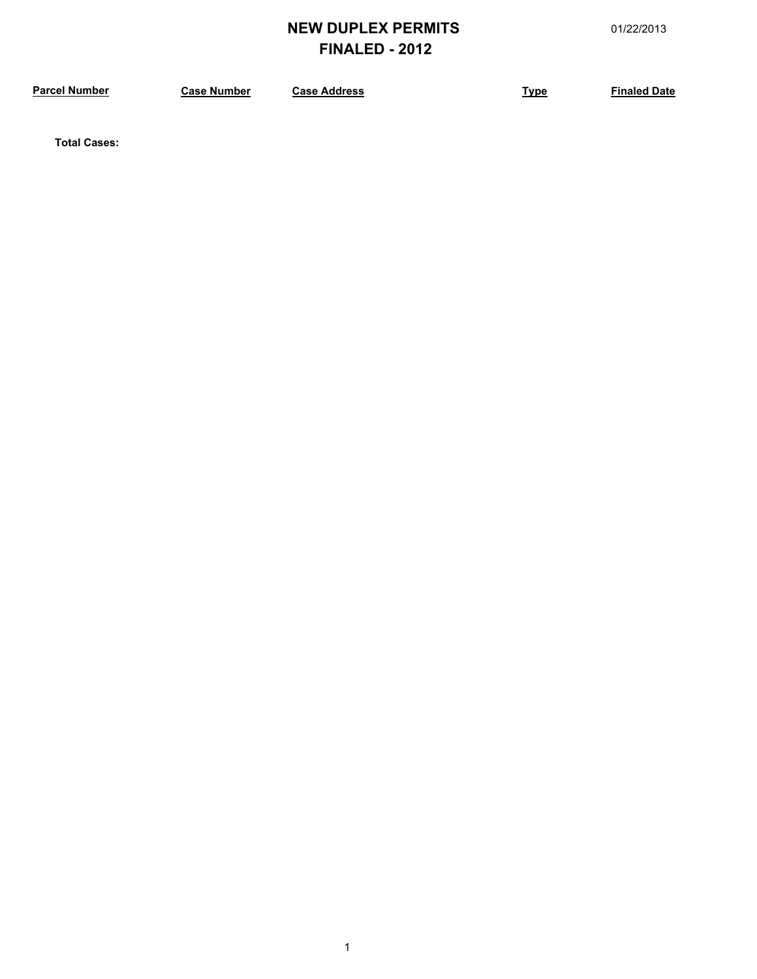# **NEW DUPLEX PERMITS** 01/22/2013 **FINALED - 2012**

**Parameter <b>Case Address Case Address Type Finaled Date** 

**Total Cases:**